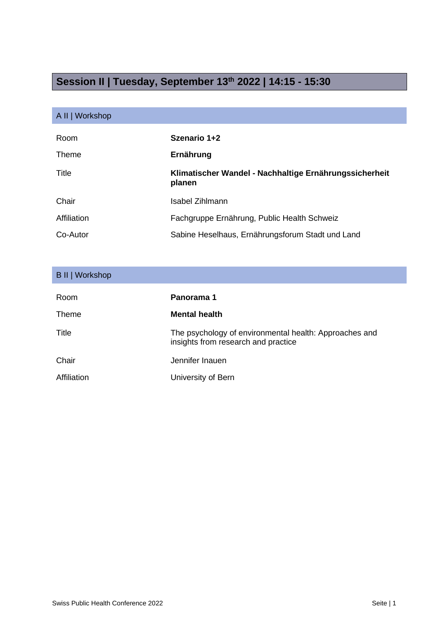## **Session II | Tuesday, September 13th 2022 | 14:15 - 15:30**

## A II | Workshop

| Room        | Szenario 1+2                                                     |
|-------------|------------------------------------------------------------------|
| Theme       | Ernährung                                                        |
| Title       | Klimatischer Wandel - Nachhaltige Ernährungssicherheit<br>planen |
| Chair       | <b>Isabel Zihlmann</b>                                           |
| Affiliation | Fachgruppe Ernährung, Public Health Schweiz                      |
| Co-Autor    | Sabine Heselhaus, Ernährungsforum Stadt und Land                 |

| B II   Workshop |                                                                                               |
|-----------------|-----------------------------------------------------------------------------------------------|
|                 |                                                                                               |
| Room            | Panorama 1                                                                                    |
| Theme           | <b>Mental health</b>                                                                          |
| Title           | The psychology of environmental health: Approaches and<br>insights from research and practice |
| Chair           | Jennifer Inauen                                                                               |
| Affiliation     | University of Bern                                                                            |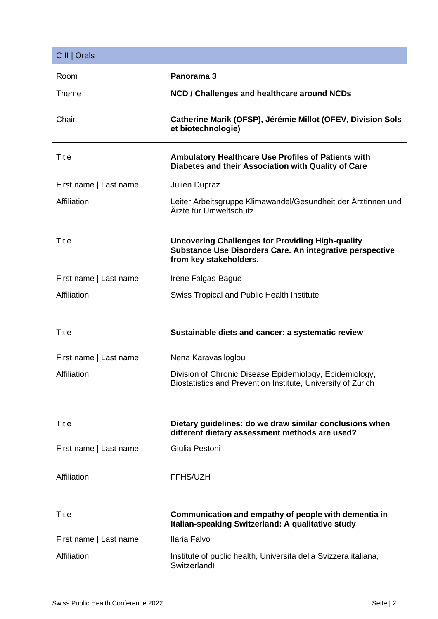| C II   Orals           |                                                                                                                                               |
|------------------------|-----------------------------------------------------------------------------------------------------------------------------------------------|
| Room                   | Panorama 3                                                                                                                                    |
| Theme                  | NCD / Challenges and healthcare around NCDs                                                                                                   |
| Chair                  | Catherine Marik (OFSP), Jérémie Millot (OFEV, Division Sols<br>et biotechnologie)                                                             |
| <b>Title</b>           | <b>Ambulatory Healthcare Use Profiles of Patients with</b><br>Diabetes and their Association with Quality of Care                             |
| First name   Last name | <b>Julien Dupraz</b>                                                                                                                          |
| Affiliation            | Leiter Arbeitsgruppe Klimawandel/Gesundheit der Ärztinnen und<br>Ärzte für Umweltschutz                                                       |
| <b>Title</b>           | <b>Uncovering Challenges for Providing High-quality</b><br>Substance Use Disorders Care. An integrative perspective<br>from key stakeholders. |
| First name   Last name | Irene Falgas-Bague                                                                                                                            |
| Affiliation            | <b>Swiss Tropical and Public Health Institute</b>                                                                                             |
|                        |                                                                                                                                               |
| <b>Title</b>           | Sustainable diets and cancer: a systematic review                                                                                             |
| First name   Last name | Nena Karavasiloglou                                                                                                                           |
| Affiliation            | Division of Chronic Disease Epidemiology, Epidemiology,<br>Biostatistics and Prevention Institute, University of Zurich                       |
|                        |                                                                                                                                               |
| <b>Title</b>           | Dietary guidelines: do we draw similar conclusions when<br>different dietary assessment methods are used?                                     |
| First name   Last name | Giulia Pestoni                                                                                                                                |
| Affiliation            | FFHS/UZH                                                                                                                                      |
| <b>Title</b>           | Communication and empathy of people with dementia in<br>Italian-speaking Switzerland: A qualitative study                                     |
| First name   Last name | Ilaria Falvo                                                                                                                                  |
| Affiliation            | Institute of public health, Università della Svizzera italiana,<br>Switzerlandl                                                               |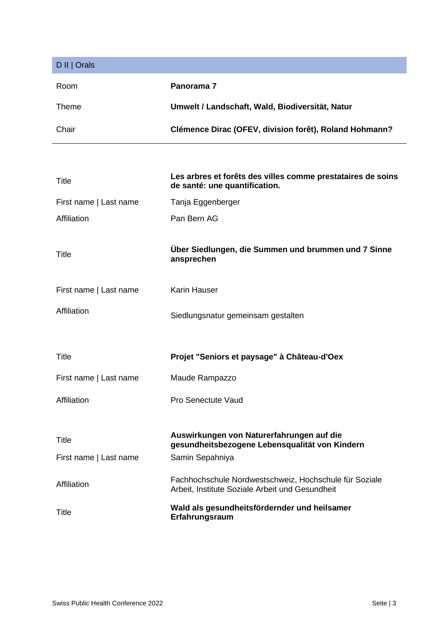| D II   Orals           |                                                                                                           |
|------------------------|-----------------------------------------------------------------------------------------------------------|
| Room                   | Panorama 7                                                                                                |
| <b>Theme</b>           | Umwelt / Landschaft, Wald, Biodiversität, Natur                                                           |
| Chair                  | Clémence Dirac (OFEV, division forêt), Roland Hohmann?                                                    |
|                        |                                                                                                           |
| <b>Title</b>           | Les arbres et forêts des villes comme prestataires de soins<br>de santé: une quantification.              |
| First name   Last name | Tanja Eggenberger                                                                                         |
| Affiliation            | Pan Bern AG                                                                                               |
| Title                  | Über Siedlungen, die Summen und brummen und 7 Sinne<br>ansprechen                                         |
| First name   Last name | <b>Karin Hauser</b>                                                                                       |
| Affiliation            | Siedlungsnatur gemeinsam gestalten                                                                        |
| Title                  | Projet "Seniors et paysage" à Château-d'Oex                                                               |
| First name   Last name | Maude Rampazzo                                                                                            |
| Affiliation            | <b>Pro Senectute Vaud</b>                                                                                 |
|                        |                                                                                                           |
| <b>Title</b>           | Auswirkungen von Naturerfahrungen auf die<br>gesundheitsbezogene Lebensqualität von Kindern               |
| First name   Last name | Samin Sepahniya                                                                                           |
| Affiliation            | Fachhochschule Nordwestschweiz, Hochschule für Soziale<br>Arbeit, Institute Soziale Arbeit und Gesundheit |
| Title                  | Wald als gesundheitsfördernder und heilsamer<br>Erfahrungsraum                                            |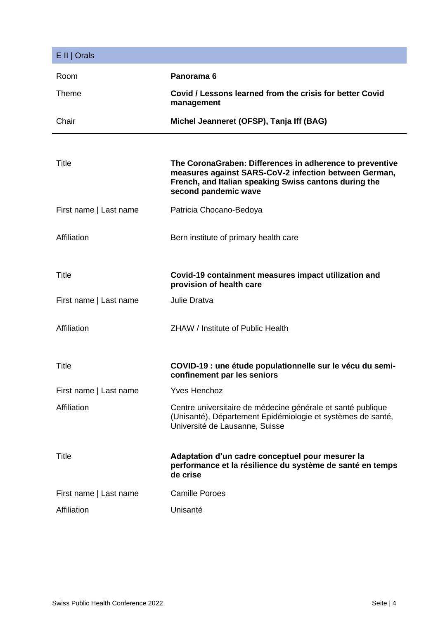| E II   Orals           |                                                                                                                                                                                                    |
|------------------------|----------------------------------------------------------------------------------------------------------------------------------------------------------------------------------------------------|
| Room                   | Panorama <sub>6</sub>                                                                                                                                                                              |
| <b>Theme</b>           | Covid / Lessons learned from the crisis for better Covid<br>management                                                                                                                             |
| Chair                  | Michel Jeanneret (OFSP), Tanja Iff (BAG)                                                                                                                                                           |
|                        |                                                                                                                                                                                                    |
| Title                  | The CoronaGraben: Differences in adherence to preventive<br>measures against SARS-CoV-2 infection between German,<br>French, and Italian speaking Swiss cantons during the<br>second pandemic wave |
| First name   Last name | Patricia Chocano-Bedoya                                                                                                                                                                            |
| Affiliation            | Bern institute of primary health care                                                                                                                                                              |
| <b>Title</b>           | Covid-19 containment measures impact utilization and<br>provision of health care                                                                                                                   |
| First name   Last name | Julie Dratva                                                                                                                                                                                       |
| Affiliation            | ZHAW / Institute of Public Health                                                                                                                                                                  |
| Title                  | COVID-19 : une étude populationnelle sur le vécu du semi-<br>confinement par les seniors                                                                                                           |
| First name   Last name | <b>Yves Henchoz</b>                                                                                                                                                                                |
| Affiliation            | Centre universitaire de médecine générale et santé publique<br>(Unisanté), Département Epidémiologie et systèmes de santé,<br>Université de Lausanne, Suisse                                       |
| Title                  | Adaptation d'un cadre conceptuel pour mesurer la<br>performance et la résilience du système de santé en temps<br>de crise                                                                          |
| First name   Last name | <b>Camille Poroes</b>                                                                                                                                                                              |
| Affiliation            | Unisanté                                                                                                                                                                                           |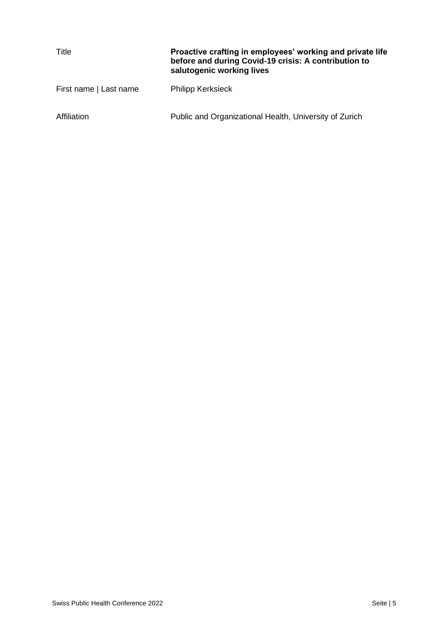| Title                  | Proactive crafting in employees' working and private life<br>before and during Covid-19 crisis: A contribution to<br>salutogenic working lives |
|------------------------|------------------------------------------------------------------------------------------------------------------------------------------------|
| First name   Last name | <b>Philipp Kerksieck</b>                                                                                                                       |
| Affiliation            | Public and Organizational Health, University of Zurich                                                                                         |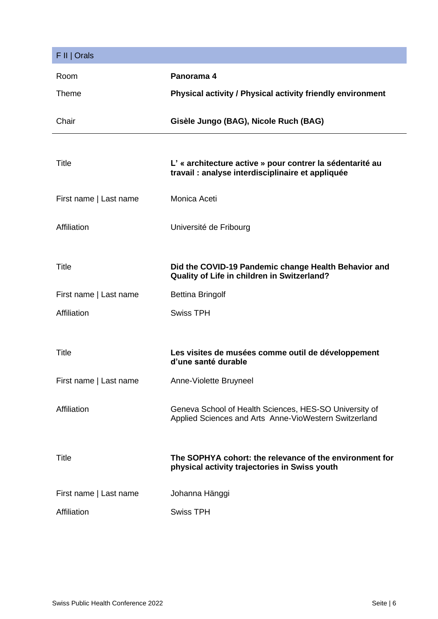| F II   Orals           |                                                                                                                 |
|------------------------|-----------------------------------------------------------------------------------------------------------------|
| Room                   | Panorama 4                                                                                                      |
| <b>Theme</b>           | Physical activity / Physical activity friendly environment                                                      |
| Chair                  | Gisèle Jungo (BAG), Nicole Ruch (BAG)                                                                           |
| Title                  | L' « architecture active » pour contrer la sédentarité au<br>travail : analyse interdisciplinaire et appliquée  |
| First name   Last name | Monica Aceti                                                                                                    |
| Affiliation            | Université de Fribourg                                                                                          |
| <b>Title</b>           | Did the COVID-19 Pandemic change Health Behavior and<br>Quality of Life in children in Switzerland?             |
| First name   Last name | <b>Bettina Bringolf</b>                                                                                         |
| Affiliation            | <b>Swiss TPH</b>                                                                                                |
|                        |                                                                                                                 |
| Title                  | Les visites de musées comme outil de développement<br>d'une santé durable                                       |
| First name   Last name | Anne-Violette Bruyneel                                                                                          |
| Affiliation            | Geneva School of Health Sciences, HES-SO University of<br>Applied Sciences and Arts Anne-VioWestern Switzerland |
| <b>Title</b>           | The SOPHYA cohort: the relevance of the environment for<br>physical activity trajectories in Swiss youth        |
|                        |                                                                                                                 |
| First name   Last name | Johanna Hänggi                                                                                                  |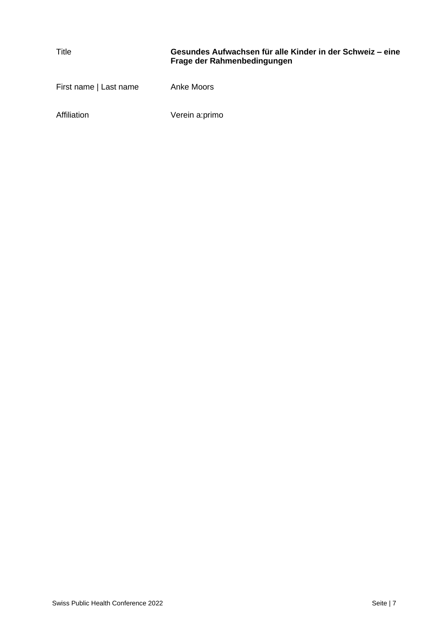| Title                  | Gesundes Aufwachsen für alle Kinder in der Schweiz – eine<br>Frage der Rahmenbedingungen |
|------------------------|------------------------------------------------------------------------------------------|
| First name   Last name | Anke Moors                                                                               |
| Affiliation            | Verein a:primo                                                                           |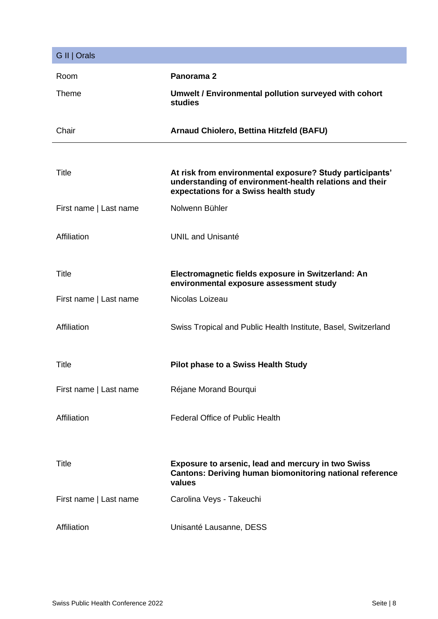| G II   Orals           |                                                                                                                                                              |
|------------------------|--------------------------------------------------------------------------------------------------------------------------------------------------------------|
| Room                   | Panorama <sub>2</sub>                                                                                                                                        |
| <b>Theme</b>           | Umwelt / Environmental pollution surveyed with cohort<br>studies                                                                                             |
| Chair                  | <b>Arnaud Chiolero, Bettina Hitzfeld (BAFU)</b>                                                                                                              |
|                        |                                                                                                                                                              |
| <b>Title</b>           | At risk from environmental exposure? Study participants'<br>understanding of environment-health relations and their<br>expectations for a Swiss health study |
| First name   Last name | Nolwenn Bühler                                                                                                                                               |
| Affiliation            | <b>UNIL and Unisanté</b>                                                                                                                                     |
| <b>Title</b>           | Electromagnetic fields exposure in Switzerland: An<br>environmental exposure assessment study                                                                |
| First name   Last name | Nicolas Loizeau                                                                                                                                              |
| Affiliation            | Swiss Tropical and Public Health Institute, Basel, Switzerland                                                                                               |
| <b>Title</b>           | <b>Pilot phase to a Swiss Health Study</b>                                                                                                                   |
| First name   Last name | Réjane Morand Bourqui                                                                                                                                        |
| Affiliation            | <b>Federal Office of Public Health</b>                                                                                                                       |
| <b>Title</b>           | <b>Exposure to arsenic, lead and mercury in two Swiss</b><br><b>Cantons: Deriving human biomonitoring national reference</b><br>values                       |
| First name   Last name | Carolina Veys - Takeuchi                                                                                                                                     |
| Affiliation            | Unisanté Lausanne, DESS                                                                                                                                      |